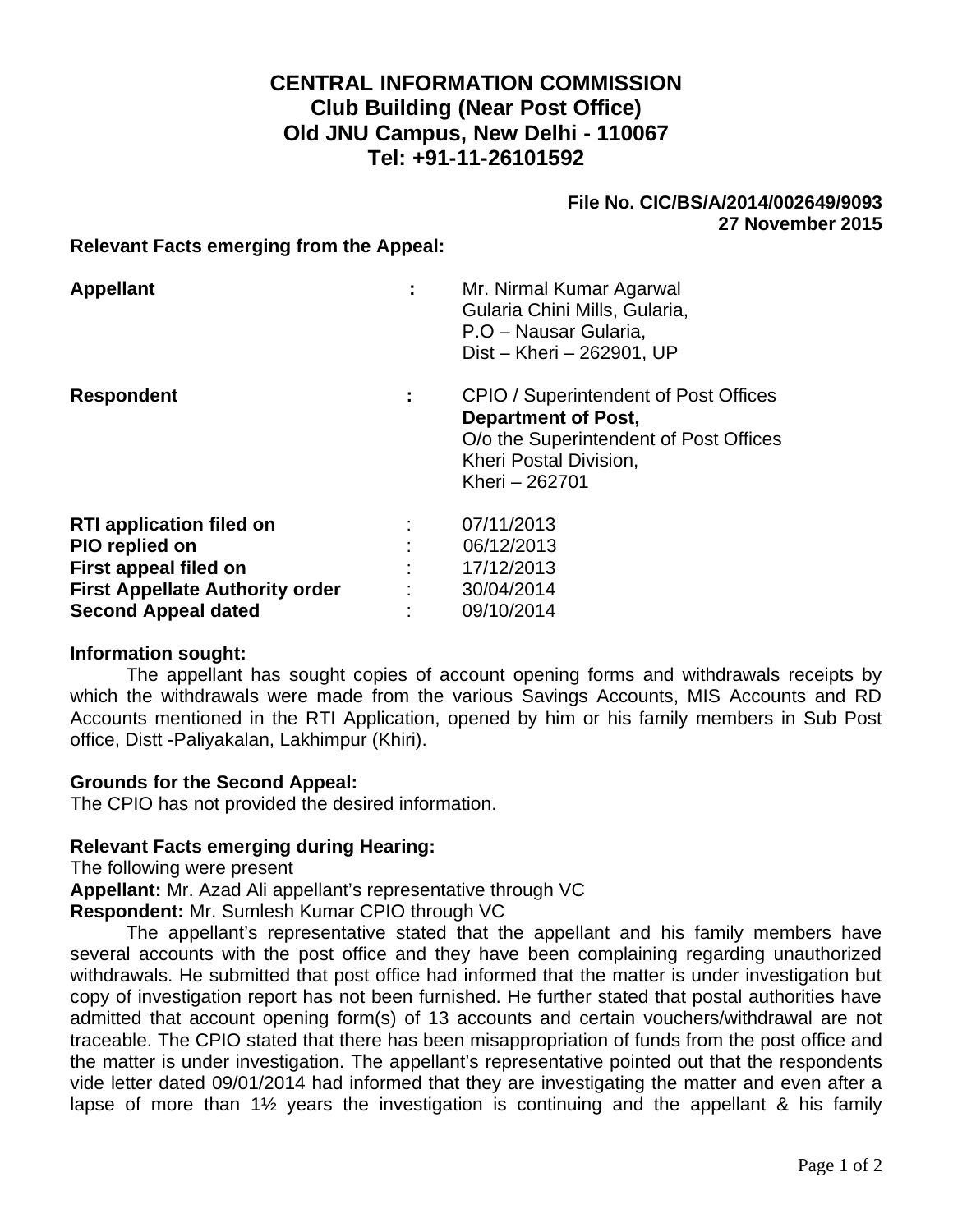# **CENTRAL INFORMATION COMMISSION Club Building (Near Post Office) Old JNU Campus, New Delhi - 110067 Tel: +91-11-26101592**

## **File No. CIC/BS/A/2014/002649/9093 27 November 2015**

#### **Relevant Facts emerging from the Appeal:**

| <b>Appellant</b>                                                           | ÷ | Mr. Nirmal Kumar Agarwal<br>Gularia Chini Mills, Gularia,<br>P.O – Nausar Gularia,<br>Dist - Kheri - 262901, UP                                           |
|----------------------------------------------------------------------------|---|-----------------------------------------------------------------------------------------------------------------------------------------------------------|
| <b>Respondent</b>                                                          | ÷ | CPIO / Superintendent of Post Offices<br><b>Department of Post,</b><br>O/o the Superintendent of Post Offices<br>Kheri Postal Division,<br>Kheri - 262701 |
| <b>RTI application filed on</b><br>PIO replied on<br>First appeal filed on |   | 07/11/2013<br>06/12/2013<br>17/12/2013                                                                                                                    |
| <b>First Appellate Authority order</b>                                     |   | 30/04/2014                                                                                                                                                |
| <b>Second Appeal dated</b>                                                 |   | 09/10/2014                                                                                                                                                |

#### **Information sought:**

The appellant has sought copies of account opening forms and withdrawals receipts by which the withdrawals were made from the various Savings Accounts, MIS Accounts and RD Accounts mentioned in the RTI Application, opened by him or his family members in Sub Post office, Distt -Paliyakalan, Lakhimpur (Khiri).

#### **Grounds for the Second Appeal:**

The CPIO has not provided the desired information.

## **Relevant Facts emerging during Hearing:**

The following were present

**Appellant:** Mr. Azad Ali appellant's representative through VC

**Respondent:** Mr. Sumlesh Kumar CPIO through VC

The appellant's representative stated that the appellant and his family members have several accounts with the post office and they have been complaining regarding unauthorized withdrawals. He submitted that post office had informed that the matter is under investigation but copy of investigation report has not been furnished. He further stated that postal authorities have admitted that account opening form(s) of 13 accounts and certain vouchers/withdrawal are not traceable. The CPIO stated that there has been misappropriation of funds from the post office and the matter is under investigation. The appellant's representative pointed out that the respondents vide letter dated 09/01/2014 had informed that they are investigating the matter and even after a lapse of more than  $1\frac{1}{2}$  years the investigation is continuing and the appellant & his family